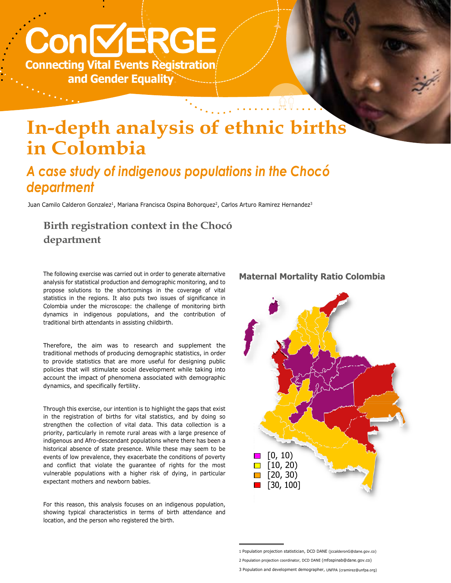# **Con VERGE Connecting Vital Events Registration and Gender Equality**

# **In-depth analysis of ethnic births in Colombia**

## *A case study of indigenous populations in the Chocó department*

Juan Camilo Calderon Gonzalez<sup>1</sup>, Mariana Francisca Ospina Bohorquez<sup>2</sup>, Carlos Arturo Ramirez Hernandez<sup>3</sup>

#### **Birth registration context in the Chocó department**

The following exercise was carried out in order to generate alternative analysis for statistical production and demographic monitoring, and to propose solutions to the shortcomings in the coverage of vital statistics in the regions. It also puts two issues of significance in Colombia under the microscope: the challenge of monitoring birth dynamics in indigenous populations, and the contribution of traditional birth attendants in assisting childbirth.

Therefore, the aim was to research and supplement the traditional methods of producing demographic statistics, in order to provide statistics that are more useful for designing public policies that will stimulate social development while taking into account the impact of phenomena associated with demographic dynamics, and specifically fertility.

Through this exercise, our intention is to highlight the gaps that exist in the registration of births for vital statistics, and by doing so strengthen the collection of vital data. This data collection is a priority, particularly in remote rural areas with a large presence of indigenous and Afro-descendant populations where there has been a historical absence of state presence. While these may seem to be events of low prevalence, they exacerbate the conditions of poverty and conflict that violate the guarantee of rights for the most vulnerable populations with a higher risk of dying, in particular expectant mothers and newborn babies.

For this reason, this analysis focuses on an indigenous population, showing typical characteristics in terms of birth attendance and location, and the person who registered the birth.

# **Maternal Mortality Ratio Colombia**

**© Vincent Tremeau for UNFPA**



3 Population and development demographer, UNFPA (cramirez@unfpa.org)

<sup>1</sup> Population projection statistician, DCD DANE (jccalderonG@dane.gov.co)

<sup>2</sup> Population projection coordinator, DCD DANE (mfospinab@dane.gov.co)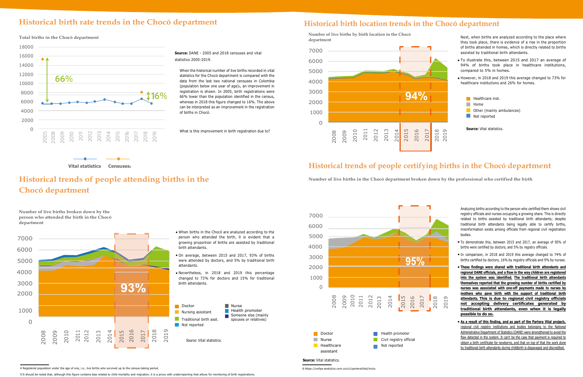#### **Historical birth rate trends in the Chocó department Historical birth location trends in the Chocó department**

**Total births in the Chocó department**

**Source:** DANE - 2005 and 2018 censuses and vital statistics 2005-2019.

When the historical number of live births recorded in vital statistics for the Chocó department is compared with the data from the last two national censuses in Colombia (population below one year of age)5, an improvement in registration is shown. In 2005, birth registrations were 66% lower than the population identified in the census, whereas in 2018 this figure changed to 16%. The above can be interpreted as an improvement in the registration of births in Chocó.

What is this improvement in birth registration due to?

**Number of live births by birth location in the Chocó department**

Next, when births are analyzed according to the place where they took place, there is evidence of a rise in the proportion of births attended in homes, which is directly related to births assisted by traditional birth attendants.

- To illustrate this, between 2015 and 2017 an average of 94% of births took place in healthcare institutions, compared to 5% in homes.
- However, in 2018 and 2019 this average changed to 73% for healthcare institutions and 26% for homes.



**Source:** Vital statistics.

 **Vital statistics Censuses**<sup>4</sup>

## **Historical trends of people attending births in the Chocó department**

#### **Historical trends of people certifying births in the Chocó department**

**Number of live births in the Chocó department broken down by the professional who certified the birth**

**Number of live births broken down by the person who attended the birth in the Chocó department**

> When births in the Chocó are analyzed according to the person who attended the birth, it is evident that a growing proportion of births are assisted by traditional

- On average, between 2015 and 2017, 93% of births were attended by doctors, and 5% by traditional birth
- Nevertheless, in 2018 and 2019 this percentage changed to 73% for doctors and 15% for traditional

Analyzing births according to the person who certified them shows civil registry officials and nurses occupying a growing share. This is directly related to births assisted by traditional birth attendants; despite traditional birth attendants being legally able to certify births, misinformation exists among officials from regional civil registration bodies.









- To demonstrate this, between 2015 and 2017, an average of 95% of births were certified by doctors, and 5% by registry officials.
- In comparison, in 2018 and 2019 this average changed to 74% of births certified by doctors, 16% by registry officials and 9% by nurses.
- **These findings were shared with traditional birth attendants and regional DANE officials, and a flaw in the way children are registered into the system was identified. The traditional birth attendants themselves reported that the growing number of births certified by nurses was associated with one-off payments made to nurses by mothers who gave birth with the support of traditional birth attendants. This is due to regional civil registry officials not accepting delivery certificates generated by traditional birth attendants, even when it is legally**
- **As a result of this finding, and as part of the Partera Vital projects,** regional civil registry institutions and bodies belonging to the National Administrative Department of Statistics (DANE) were strengthened to avoid the flaw detected in the system. It can't be the case that payment is required to obtain a birth certificate for newborns, and that on top of that the work done by traditional birth attendants during childbirth is disparaged and discredited.



**Source:** Vital statistics.

5 It should be noted that, although this figure contains bias related to child mortality and migration, it is a proxy with underreporting that allows for monitoring of birth registrations.

<sup>4</sup> Registered population under the age of one, i.e., live births who survived up to the census-taking period.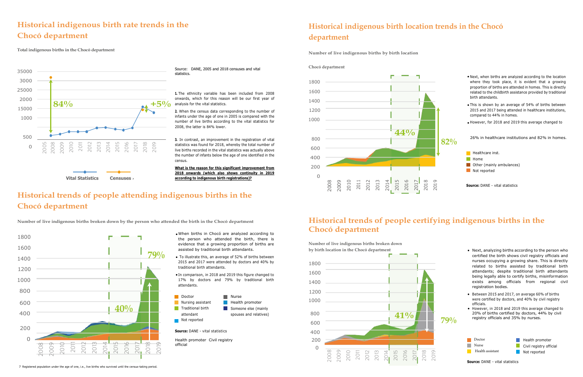## **Historical indigenous birth rate trends in the Chocó department**

**Total indigenous births in the Chocó department**

## **Historical indigenous birth location trends in the Chocó department**

**Number of live indigenous births by birth location**

Source: DANE, 2005 and 2018 censuses and vital statistics.

**1.** The ethnicity variable has been included from 2008 onwards, which for this reason will be our first year of analysis for the vital statistics.

**2.** When the census data corresponding to the number of infants under the age of one in 2005 is compared with the number of live births according to the vital statistics for 2008, the latter is 84% lower.



**3.** In contrast, an improvement in the registration of vital statistics was found for 2018, whereby the total number of live births recorded in the vital statistics was actually above the number of infants below the age of one identified in the census.

**What is the reason for this significant improvement from 2018 onwards (which also shows continuity in 2019 according to indigenous birth registrations)?**

## **Historical trends of people attending indigenous births in the Chocó department**

Number of live indigenous births broken down by the person who attended the birth in the Chocó department Historical trends of people certifying indigenous births in the



**Chocó department**

- When births in Chocó are analyzed according to the person who attended the birth, there is evidence that a growing proportion of births are assisted by traditional birth attendants.
- To illustrate this, an average of 52% of births between 2015 and 2017 were attended by doctors and 40% by traditional birth attendants.
- In comparison, in 2018 and 2019 this figure changed to 17% by doctors and 79% by traditional birth attendants.

**Number of live indigenous births broken down by birth location in the Chocó department** 





**Source:** DANE - vital statistics



Health promoter Civil registry official